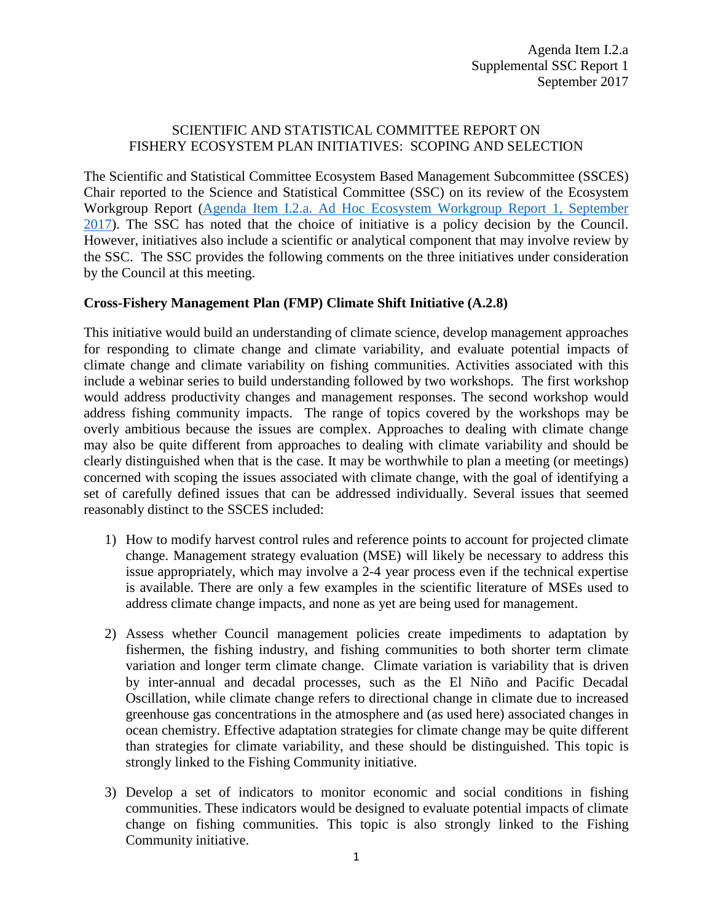## SCIENTIFIC AND STATISTICAL COMMITTEE REPORT ON FISHERY ECOSYSTEM PLAN INITIATIVES: SCOPING AND SELECTION

The Scientific and Statistical Committee Ecosystem Based Management Subcommittee (SSCES) Chair reported to the Science and Statistical Committee (SSC) on its review of the Ecosystem Workgroup Report [\(Agenda Item I.2.a. Ad Hoc Ecosystem Workgroup Report 1, September](http://www.pcouncil.org/wp-content/uploads/2017/08/I2a_EWG_Rpt1_Initiatives_081517_SEPT2017BB.pdf)  [2017\)](http://www.pcouncil.org/wp-content/uploads/2017/08/I2a_EWG_Rpt1_Initiatives_081517_SEPT2017BB.pdf). The SSC has noted that the choice of initiative is a policy decision by the Council. However, initiatives also include a scientific or analytical component that may involve review by the SSC. The SSC provides the following comments on the three initiatives under consideration by the Council at this meeting.

## **Cross-Fishery Management Plan (FMP) Climate Shift Initiative (A.2.8)**

This initiative would build an understanding of climate science, develop management approaches for responding to climate change and climate variability, and evaluate potential impacts of climate change and climate variability on fishing communities. Activities associated with this include a webinar series to build understanding followed by two workshops. The first workshop would address productivity changes and management responses. The second workshop would address fishing community impacts. The range of topics covered by the workshops may be overly ambitious because the issues are complex. Approaches to dealing with climate change may also be quite different from approaches to dealing with climate variability and should be clearly distinguished when that is the case. It may be worthwhile to plan a meeting (or meetings) concerned with scoping the issues associated with climate change, with the goal of identifying a set of carefully defined issues that can be addressed individually. Several issues that seemed reasonably distinct to the SSCES included:

- 1) How to modify harvest control rules and reference points to account for projected climate change. Management strategy evaluation (MSE) will likely be necessary to address this issue appropriately, which may involve a 2-4 year process even if the technical expertise is available. There are only a few examples in the scientific literature of MSEs used to address climate change impacts, and none as yet are being used for management.
- 2) Assess whether Council management policies create impediments to adaptation by fishermen, the fishing industry, and fishing communities to both shorter term climate variation and longer term climate change. Climate variation is variability that is driven by inter-annual and decadal processes, such as the El Niño and Pacific Decadal Oscillation, while climate change refers to directional change in climate due to increased greenhouse gas concentrations in the atmosphere and (as used here) associated changes in ocean chemistry. Effective adaptation strategies for climate change may be quite different than strategies for climate variability, and these should be distinguished. This topic is strongly linked to the Fishing Community initiative.
- 3) Develop a set of indicators to monitor economic and social conditions in fishing communities. These indicators would be designed to evaluate potential impacts of climate change on fishing communities. This topic is also strongly linked to the Fishing Community initiative.